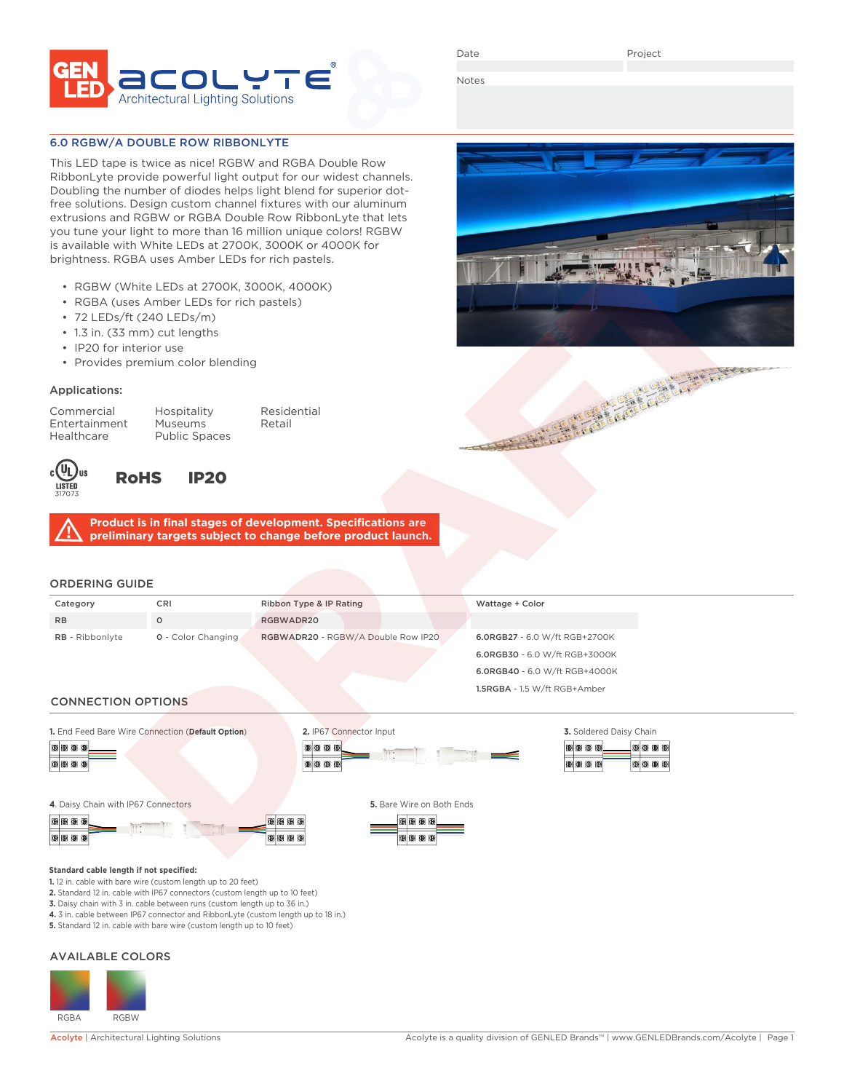

Date

Notes

# 6.0 RGBW/A DOUBLE ROW RIBBONLYTE

This LED tape is twice as nice! RGBW and RGBA Double Row RibbonLyte provide powerful light output for our widest channels. Doubling the number of diodes helps light blend for superior dotfree solutions. Design custom channel fixtures with our aluminum extrusions and RGBW or RGBA Double Row RibbonLyte that lets you tune your light to more than 16 million unique colors! RGBW is available with White LEDs at 2700K, 3000K or 4000K for brightness. RGBA uses Amber LEDs for rich pastels.

- RGBW (White LEDs at 2700K, 3000K, 4000K)
- RGBA (uses Amber LEDs for rich pastels)
- 72 LEDs/ft (240 LEDs/m)
- 1.3 in. (33 mm) cut lengths
- IP20 for interior use
- Provides premium color blending

## Applications:

Healthcare Public Spaces

Commercial Hospitality Residential Entertainment Museums Retail



# RoHS IP20

**Product is in final stages of development. Specifications are preliminary targets subject to change before product launch.**

# ORDERING GUIDE

| Category                  | <b>CRI</b>                | Ribbon Type & IP Rating            | Wattage + Color               |  |  |
|---------------------------|---------------------------|------------------------------------|-------------------------------|--|--|
| <b>RB</b>                 | $\Omega$                  | RGBWADR20                          |                               |  |  |
| <b>RB</b> - Ribbonlyte    | <b>0</b> - Color Changing | RGBWADR20 - RGBW/A Double Row IP20 | 6.0RGB27 - 6.0 W/ft RGB+2700K |  |  |
|                           |                           |                                    | 6.0RGB30 - 6.0 W/ft RGB+3000K |  |  |
|                           |                           |                                    | 6.0RGB40 - 6.0 W/ft RGB+4000K |  |  |
|                           |                           |                                    | 1.5RGBA - 1.5 W/ft RGB+Amber  |  |  |
| <b>CONNECTION OPTIONS</b> |                           |                                    |                               |  |  |

**1.** End Feed Bare Wire Connection (**Default Option**)







**4**. Daisy Chain with IP67 Connectors **5.** Bare Wire on Both Ends







### **Standard cable length if not specified:**

**1.** 12 in. cable with bare wire (custom length up to 20 feet)

**2.** Standard 12 in. cable with IP67 connectors (custom length up to 10 feet)

**3.** Daisy chain with 3 in. cable between runs (custom length up to 36 in.) **4.** 3 in. cable between IP67 connector and RibbonLyte (custom length up to 18 in.)

**5.** Standard 12 in. cable with bare wire (custom length up to 10 feet)

### AVAILABLE COLORS



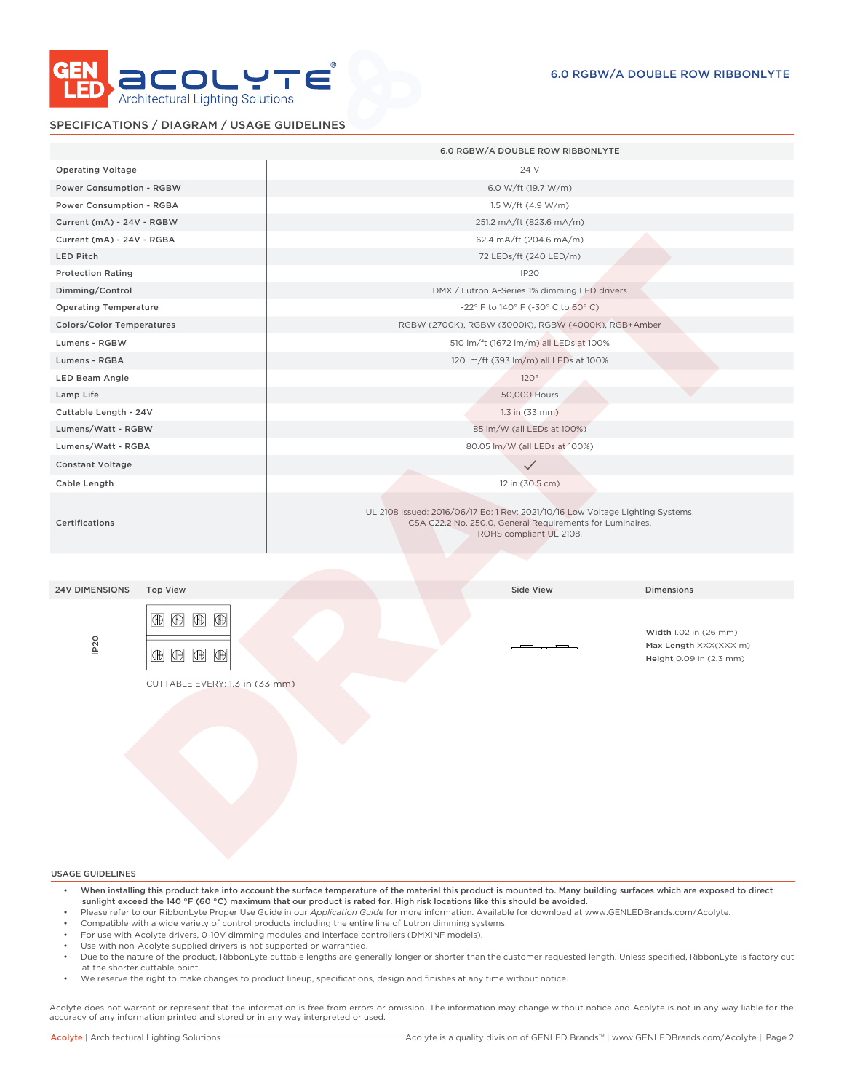

# SPECIFICATIONS / DIAGRAM / USAGE GUIDELINES

|                                                                                                                                                                | 6.0 RGBW/A DOUBLE ROW RIBBONLYTE                                                                                                                                       |  |  |
|----------------------------------------------------------------------------------------------------------------------------------------------------------------|------------------------------------------------------------------------------------------------------------------------------------------------------------------------|--|--|
| <b>Operating Voltage</b>                                                                                                                                       | 24 V                                                                                                                                                                   |  |  |
| Power Consumption - RGBW                                                                                                                                       | 6.0 W/ft (19.7 W/m)                                                                                                                                                    |  |  |
| Power Consumption - RGBA                                                                                                                                       | 1.5 W/ft (4.9 W/m)                                                                                                                                                     |  |  |
| Current (mA) - 24V - RGBW                                                                                                                                      | 251.2 mA/ft (823.6 mA/m)                                                                                                                                               |  |  |
| Current (mA) - 24V - RGBA                                                                                                                                      | 62.4 mA/ft (204.6 mA/m)                                                                                                                                                |  |  |
| <b>LED Pitch</b>                                                                                                                                               | 72 LEDs/ft (240 LED/m)                                                                                                                                                 |  |  |
| <b>Protection Rating</b>                                                                                                                                       | IP <sub>20</sub>                                                                                                                                                       |  |  |
| Dimming/Control                                                                                                                                                | DMX / Lutron A-Series 1% dimming LED drivers                                                                                                                           |  |  |
| <b>Operating Temperature</b>                                                                                                                                   | -22° F to 140° F (-30° C to 60° C)                                                                                                                                     |  |  |
| Colors/Color Temperatures                                                                                                                                      | RGBW (2700K), RGBW (3000K), RGBW (4000K), RGB+Amber                                                                                                                    |  |  |
| Lumens - RGBW                                                                                                                                                  | 510 lm/ft (1672 lm/m) all LEDs at 100%                                                                                                                                 |  |  |
| Lumens - RGBA                                                                                                                                                  | 120 lm/ft (393 lm/m) all LEDs at 100%                                                                                                                                  |  |  |
| LED Beam Angle                                                                                                                                                 | $120^{\circ}$                                                                                                                                                          |  |  |
| Lamp Life                                                                                                                                                      | 50,000 Hours                                                                                                                                                           |  |  |
| Cuttable Length - 24V                                                                                                                                          | $1.3$ in $(33$ mm)                                                                                                                                                     |  |  |
| Lumens/Watt - RGBW                                                                                                                                             | 85 lm/W (all LEDs at 100%)                                                                                                                                             |  |  |
| Lumens/Watt - RGBA                                                                                                                                             | 80.05 lm/W (all LEDs at 100%)                                                                                                                                          |  |  |
| <b>Constant Voltage</b>                                                                                                                                        | $\checkmark$                                                                                                                                                           |  |  |
| Cable Length                                                                                                                                                   | 12 in (30.5 cm)                                                                                                                                                        |  |  |
| <b>Certifications</b>                                                                                                                                          | UL 2108 Issued: 2016/06/17 Ed: 1 Rev: 2021/10/16 Low Voltage Lighting Systems.<br>CSA C22.2 No. 250.0, General Requirements for Luminaires.<br>ROHS compliant UL 2108. |  |  |
|                                                                                                                                                                |                                                                                                                                                                        |  |  |
| <b>Top View</b><br><b>24V DIMENSIONS</b>                                                                                                                       | Side View<br><b>Dimensions</b>                                                                                                                                         |  |  |
| $\circledR$<br>⊕<br>$^{\circledR}$<br>$^{\circ}$<br>IP <sub>20</sub><br>$^{\circledR}$<br>$\circledR$<br>$^{\circledR}$<br>⊕<br>CUTTABLE EVERY: 1.3 in (33 mm) | Width 1.02 in (26 mm)<br>Max Length XXX(XXX m)<br>Height 0.09 in (2.3 mm)                                                                                              |  |  |
|                                                                                                                                                                |                                                                                                                                                                        |  |  |

USAGE GUIDELINES

- When installing this product take into account the surface temperature of the material this product is mounted to. Many building surfaces which are exposed to direct sunlight exceed the 140 °F (60 °C) maximum that our product is rated for. High risk locations like this should be avoided.
- Please refer to our RibbonLyte Proper Use Guide in our *Application Guide* for more information. Available for download at www.GENLEDBrands.com/Acolyte.
- Compatible with a wide variety of control products including the entire line of Lutron dimming systems.
- For use with Acolyte drivers, 0-10V dimming modules and interface controllers (DMXINF models).
- Use with non-Acolyte supplied drivers is not supported or warrantied.
- Due to the nature of the product, RibbonLyte cuttable lengths are generally longer or shorter than the customer requested length. Unless specified, RibbonLyte is factory cut at the shorter cuttable point.
- We reserve the right to make changes to product lineup, specifications, design and finishes at any time without notice.

Acolyte does not warrant or represent that the information is free from errors or omission. The information may change without notice and Acolyte is not in any way liable for the accuracy of any information printed and stored or in any way interpreted or used.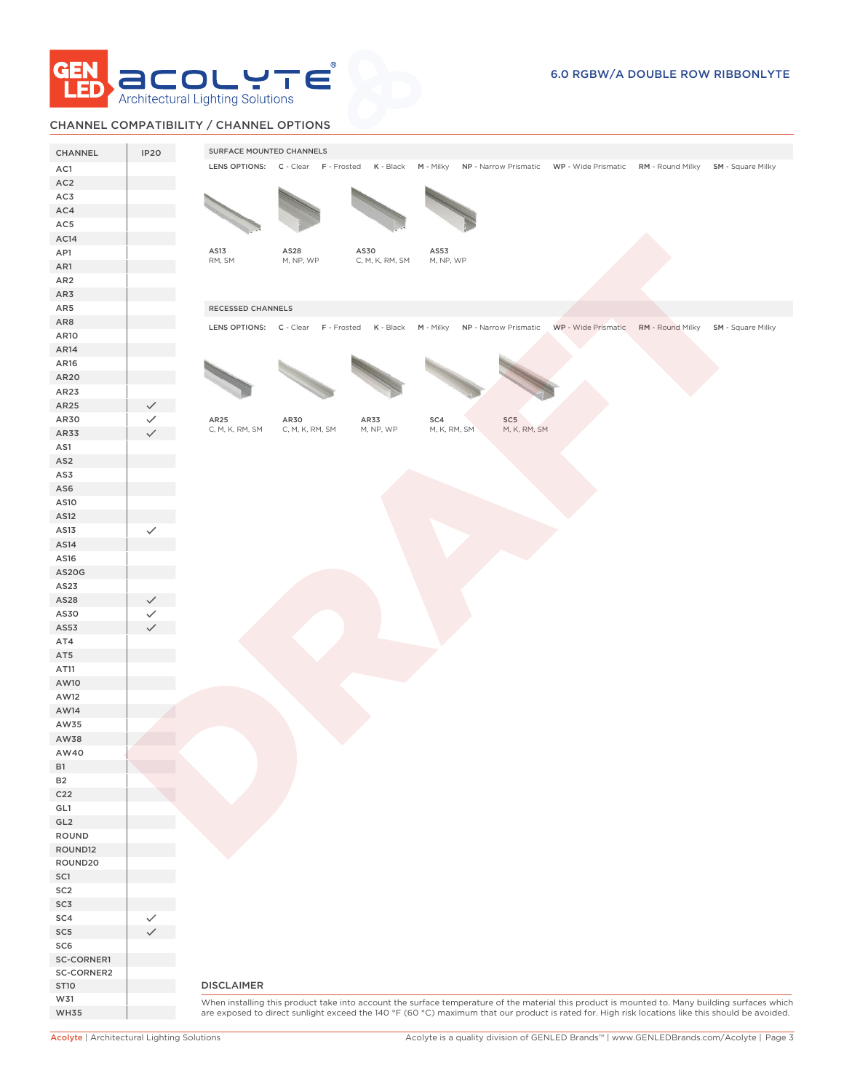

# CHANNEL COMPATIBILITY / CHANNEL OPTIONS

| CHANNEL         | IP20 | SURFACE MOUNTED CHANNELS                                                                                                                                                                                                                                                                            |
|-----------------|------|-----------------------------------------------------------------------------------------------------------------------------------------------------------------------------------------------------------------------------------------------------------------------------------------------------|
| AC1             |      | LENS OPTIONS: C - Clear F - Frosted K - Black<br>M - Milky NP - Narrow Prismatic WP - Wide Prismatic RM - Round Milky SM - Square Milky                                                                                                                                                             |
| AC <sub>2</sub> |      |                                                                                                                                                                                                                                                                                                     |
| AC3             |      |                                                                                                                                                                                                                                                                                                     |
| AC4             |      |                                                                                                                                                                                                                                                                                                     |
| AC5             |      |                                                                                                                                                                                                                                                                                                     |
|                 |      |                                                                                                                                                                                                                                                                                                     |
| AC14            |      | AS13<br>AS28<br>AS30<br>AS53                                                                                                                                                                                                                                                                        |
| AP1             |      | RM, SM<br>M, NP, WP<br>C, M, K, RM, SM<br>M, NP, WP                                                                                                                                                                                                                                                 |
| AR1             |      |                                                                                                                                                                                                                                                                                                     |
| AR <sub>2</sub> |      |                                                                                                                                                                                                                                                                                                     |
| AR3             |      |                                                                                                                                                                                                                                                                                                     |
| AR5             |      | RECESSED CHANNELS                                                                                                                                                                                                                                                                                   |
| AR8             |      | WP - Wide Prismatic RM - Round Milky SM - Square Milky<br>LENS OPTIONS: C - Clear F - Frosted K - Black M - Milky NP - Narrow Prismatic                                                                                                                                                             |
| AR10            |      |                                                                                                                                                                                                                                                                                                     |
| AR14            |      |                                                                                                                                                                                                                                                                                                     |
| AR16            |      |                                                                                                                                                                                                                                                                                                     |
| AR20            |      |                                                                                                                                                                                                                                                                                                     |
| AR23            |      |                                                                                                                                                                                                                                                                                                     |
| AR25            |      |                                                                                                                                                                                                                                                                                                     |
| AR30            |      | AR25<br>AR30<br>AR33<br>SC4<br>SC5                                                                                                                                                                                                                                                                  |
| AR33            |      | M, K, RM, SM<br>M, K, RM, SM<br>C, M, K, RM, SM<br>C, M, K, RM, SM<br>M, NP, WP                                                                                                                                                                                                                     |
| AS1             |      |                                                                                                                                                                                                                                                                                                     |
| AS <sub>2</sub> |      |                                                                                                                                                                                                                                                                                                     |
| AS3             |      |                                                                                                                                                                                                                                                                                                     |
| AS6             |      |                                                                                                                                                                                                                                                                                                     |
| AS10            |      |                                                                                                                                                                                                                                                                                                     |
| AS12            |      |                                                                                                                                                                                                                                                                                                     |
| AS13            |      |                                                                                                                                                                                                                                                                                                     |
| AS14            |      |                                                                                                                                                                                                                                                                                                     |
|                 |      |                                                                                                                                                                                                                                                                                                     |
| AS16            |      |                                                                                                                                                                                                                                                                                                     |
| <b>AS20G</b>    |      |                                                                                                                                                                                                                                                                                                     |
| AS23            |      |                                                                                                                                                                                                                                                                                                     |
| AS28            |      |                                                                                                                                                                                                                                                                                                     |
| AS30            |      |                                                                                                                                                                                                                                                                                                     |
| AS53            |      |                                                                                                                                                                                                                                                                                                     |
| AT4             |      |                                                                                                                                                                                                                                                                                                     |
| AT5             |      |                                                                                                                                                                                                                                                                                                     |
| AT11            |      |                                                                                                                                                                                                                                                                                                     |
| AW10            |      |                                                                                                                                                                                                                                                                                                     |
| AW12            |      |                                                                                                                                                                                                                                                                                                     |
| AW14            |      |                                                                                                                                                                                                                                                                                                     |
| AW35            |      |                                                                                                                                                                                                                                                                                                     |
| AW38            |      |                                                                                                                                                                                                                                                                                                     |
| AW40            |      |                                                                                                                                                                                                                                                                                                     |
| <b>B1</b>       |      |                                                                                                                                                                                                                                                                                                     |
| <b>B2</b>       |      |                                                                                                                                                                                                                                                                                                     |
| C <sub>22</sub> |      |                                                                                                                                                                                                                                                                                                     |
| GL1             |      |                                                                                                                                                                                                                                                                                                     |
| GL <sub>2</sub> |      |                                                                                                                                                                                                                                                                                                     |
| ROUND           |      |                                                                                                                                                                                                                                                                                                     |
| ROUND12         |      |                                                                                                                                                                                                                                                                                                     |
| ROUND20         |      |                                                                                                                                                                                                                                                                                                     |
| SC1             |      |                                                                                                                                                                                                                                                                                                     |
| SC <sub>2</sub> |      |                                                                                                                                                                                                                                                                                                     |
| SC3             |      |                                                                                                                                                                                                                                                                                                     |
| SC4             |      |                                                                                                                                                                                                                                                                                                     |
| SC <sub>5</sub> |      |                                                                                                                                                                                                                                                                                                     |
| SC6             |      |                                                                                                                                                                                                                                                                                                     |
| SC-CORNER1      |      |                                                                                                                                                                                                                                                                                                     |
| SC-CORNER2      |      |                                                                                                                                                                                                                                                                                                     |
| <b>ST10</b>     |      | <b>DISCLAIMER</b>                                                                                                                                                                                                                                                                                   |
| W31             |      |                                                                                                                                                                                                                                                                                                     |
| <b>WH35</b>     |      | When installing this product take into account the surface temperature of the material this product is mounted to. Many building surfaces which<br>are exposed to direct sunlight exceed the 140 °F (60 °C) maximum that our product is rated for. High risk locations like this should be avoided. |
|                 |      |                                                                                                                                                                                                                                                                                                     |